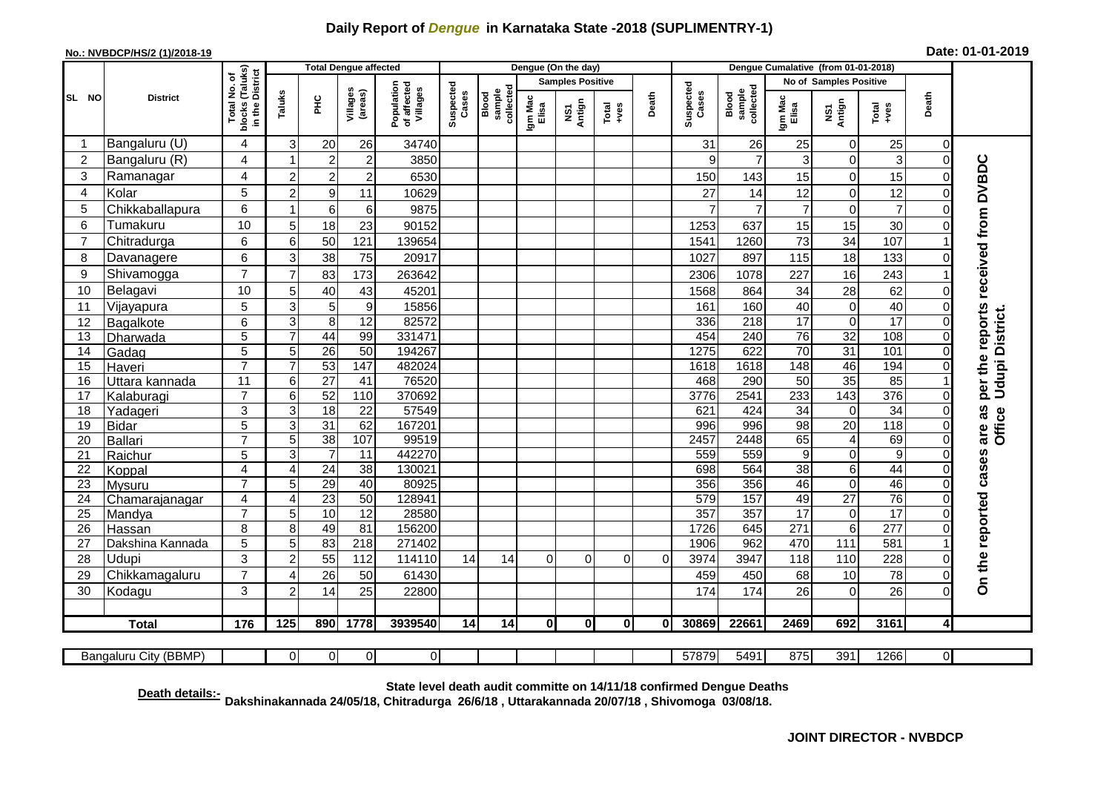## **Daily Report of** *Dengue* **in Karnataka State -2018 (SUPLIMENTRY-1)**

## **No.: NVBDCP/HS/2 (1)/2018-19**

| Date: 01-01-2019 |  |  |  |
|------------------|--|--|--|
|------------------|--|--|--|

|                                                                                                                                                                                       |                  |                                                    |                     |                 | <b>Total Dengue affected</b> |                                       | Dengue (On the day) |                              |                  |                         |               |          |                    | Dengue Cumalative (from 01-01-2018) |                  |                        |                        |             |                                     |  |
|---------------------------------------------------------------------------------------------------------------------------------------------------------------------------------------|------------------|----------------------------------------------------|---------------------|-----------------|------------------------------|---------------------------------------|---------------------|------------------------------|------------------|-------------------------|---------------|----------|--------------------|-------------------------------------|------------------|------------------------|------------------------|-------------|-------------------------------------|--|
|                                                                                                                                                                                       |                  |                                                    |                     |                 |                              |                                       |                     |                              |                  | <b>Samples Positive</b> |               |          |                    |                                     |                  | No of Samples Positive |                        |             |                                     |  |
| SL NO                                                                                                                                                                                 | <b>District</b>  | Total No. of<br>blocks (Taluks)<br>in the District | Taluks              | $rac{C}{\pi}$   | Villages<br>(areas)          | Population<br>of affected<br>Villages | Suspected<br>Cases  | collected<br>sample<br>Blood | Igm Mac<br>Elisa | NS1<br>Antign           | Total<br>+ves | Death    | Suspected<br>Cases | collected<br>sample<br>Blood        | Igm Mad<br>Elisa | NS1<br>Antign          | Total<br>+ves          | Death       |                                     |  |
| $\mathbf{1}$                                                                                                                                                                          | Bangaluru (U)    | 4                                                  | 3                   | 20              | 26                           | 34740                                 |                     |                              |                  |                         |               |          | 31                 | 26                                  | 25               | 0                      | 25                     | $\Omega$    |                                     |  |
| $\overline{c}$                                                                                                                                                                        | Bangaluru (R)    | $\overline{4}$                                     | $\overline{1}$      | $\overline{2}$  | $\overline{c}$               | 3850                                  |                     |                              |                  |                         |               |          | 9                  | $\overline{7}$                      | 3                | $\mathbf 0$            | $\mathbf{3}$           | $\Omega$    |                                     |  |
| 3                                                                                                                                                                                     | Ramanagar        | $\overline{\mathbf{4}}$                            | $\overline{c}$      | $\overline{c}$  | $\overline{2}$               | 6530                                  |                     |                              |                  |                         |               |          | 150                | 143                                 | 15               | $\mathbf 0$            | 15                     | $\Omega$    |                                     |  |
| 4                                                                                                                                                                                     | Kolar            | 5                                                  | $\overline{c}$      | 9               | 11                           | 10629                                 |                     |                              |                  |                         |               |          | 27                 | 14                                  | 12               | $\mathbf 0$            | 12                     | 0           |                                     |  |
| 5                                                                                                                                                                                     | Chikkaballapura  | 6                                                  | 1                   | 6               | $6\phantom{1}6$              | 9875                                  |                     |                              |                  |                         |               |          | 7                  | $\overline{7}$                      | $\overline{7}$   | $\mathbf 0$            | $\overline{7}$         |             |                                     |  |
| 6                                                                                                                                                                                     | Tumakuru         | 10                                                 | 5                   | 18              | 23                           | 90152                                 |                     |                              |                  |                         |               |          | 1253               | 637                                 | 15               | 15                     | 30                     |             |                                     |  |
| $\overline{7}$                                                                                                                                                                        | Chitradurga      | 6                                                  | 6                   | 50              | 121                          | 139654                                |                     |                              |                  |                         |               |          | 1541               | 1260                                | 73               | 34                     | 107                    |             |                                     |  |
| 8                                                                                                                                                                                     | Davanagere       | 6                                                  | 3                   | 38              | 75                           | 20917                                 |                     |                              |                  |                         |               |          | 1027               | 897                                 | 115              | $\overline{18}$        | 133                    |             |                                     |  |
| 9                                                                                                                                                                                     | Shivamogga       | $\overline{7}$                                     | $\overline{7}$      | 83              | 173                          | 263642                                |                     |                              |                  |                         |               |          | 2306               | 1078                                | 227              | 16                     | 243                    |             |                                     |  |
| 10                                                                                                                                                                                    | Belagavi         | 10                                                 | 5                   | 40              | 43                           | 45201                                 |                     |                              |                  |                         |               |          | 1568               | 864                                 | 34               | 28                     | 62                     | $\Omega$    | per the reports received from DVBDC |  |
| 11                                                                                                                                                                                    | Vijayapura       | 5                                                  | 3                   | 5               | $\boldsymbol{9}$             | 15856                                 |                     |                              |                  |                         |               |          | 161                | 160                                 | 40               | $\mathbf 0$            | 40                     | $\Omega$    |                                     |  |
| 12                                                                                                                                                                                    | Bagalkote        | $\overline{6}$                                     | 3                   | 8               | 12                           | 82572                                 |                     |                              |                  |                         |               |          | 336                | $\overline{218}$                    | 17               | $\mathbf 0$            | $\overline{17}$        |             | Udupi District.                     |  |
| 13                                                                                                                                                                                    | Dharwada         | 5                                                  |                     | 44              | 99                           | 331471                                |                     |                              |                  |                         |               |          | 454                | 240                                 | 76               | 32                     | 108                    | 0           |                                     |  |
| 14                                                                                                                                                                                    | Gadag            | 5                                                  | 5                   | 26              | 50                           | 194267                                |                     |                              |                  |                         |               |          | 1275               | 622                                 | $\overline{70}$  | 31                     | 101                    | $\Omega$    |                                     |  |
| $\overline{15}$                                                                                                                                                                       | Haveri           | $\overline{7}$                                     |                     | 53              | 147                          | 482024                                |                     |                              |                  |                         |               |          | 1618               | 1618                                | 148              | 46                     | 194                    |             |                                     |  |
| 16                                                                                                                                                                                    | Uttara kannada   | 11                                                 | 6                   | 27              | 41                           | 76520                                 |                     |                              |                  |                         |               |          | 468                | 290                                 | 50               | 35                     | 85                     |             |                                     |  |
| 17                                                                                                                                                                                    | Kalaburagi       | $\overline{7}$                                     | 6                   | 52              | 110                          | 370692                                |                     |                              |                  |                         |               |          | 3776               | 2541                                | 233              | 143                    | 376                    | $\Omega$    |                                     |  |
| 18                                                                                                                                                                                    | Yadageri         | 3                                                  | 3 <sup>1</sup>      | $\overline{18}$ | $\overline{22}$              | 57549                                 |                     |                              |                  |                         |               |          | 621                | 424                                 | $\overline{34}$  | $\pmb{0}$              | 34                     | $\Omega$    | Office                              |  |
| $\overline{19}$                                                                                                                                                                       | <b>Bidar</b>     | $\overline{5}$                                     | 3 <sup>1</sup>      | 31              | 62                           | 167201                                |                     |                              |                  |                         |               |          | 996                | 996                                 | 98               | 20                     | 118                    | $\Omega$    | are as                              |  |
| 20                                                                                                                                                                                    | <b>Ballari</b>   | $\overline{7}$                                     | 5 <sup>1</sup>      | $\overline{38}$ | 107                          | 99519                                 |                     |                              |                  |                         |               |          | 2457               | 2448                                | 65               | $\overline{4}$         | 69                     | $\mathbf 0$ |                                     |  |
| 21                                                                                                                                                                                    | Raichur          | $\overline{5}$                                     | 3                   | $\overline{7}$  | $\overline{11}$              | 442270                                |                     |                              |                  |                         |               |          | 559                | 559                                 | $\overline{9}$   | $\mathbf 0$            | $\overline{9}$         | $\Omega$    |                                     |  |
| 22                                                                                                                                                                                    | Koppal           | $\overline{\mathbf{4}}$                            | 4                   | $\overline{24}$ | $\overline{38}$              | 130021                                |                     |                              |                  |                         |               |          | 698                | 564                                 | 38               | $\,6$                  | 44                     | $\Omega$    |                                     |  |
| 23                                                                                                                                                                                    | <b>Mysuru</b>    |                                                    | 5                   | 29              | 40                           | 80925                                 |                     |                              |                  |                         |               |          | 356                | 356                                 | 46               | $\overline{0}$         | 46                     | $\Omega$    |                                     |  |
| 24                                                                                                                                                                                    | Chamarajanagar   | $\overline{\mathbf{4}}$                            | 4                   | $\overline{23}$ | 50                           | 128941                                |                     |                              |                  |                         |               |          | 579                | 157                                 | 49               | $\overline{27}$        | 76                     | $\Omega$    |                                     |  |
| 25                                                                                                                                                                                    | Mandya           | $\overline{7}$                                     | 5 <sup>1</sup>      | $10$            | 12                           | 28580                                 |                     |                              |                  |                         |               |          | 357                | 357                                 | $\overline{17}$  | $\pmb{0}$              | $\overline{17}$<br>277 | $\Omega$    |                                     |  |
| 26<br>$\overline{27}$                                                                                                                                                                 | Hassan           | 8<br>$\overline{5}$                                | 8 <sup>1</sup><br>5 | 49              | $\overline{81}$              | 156200                                |                     |                              |                  |                         |               |          | 1726               | 645<br>962                          | 271<br>470       | $\overline{6}$<br>111  |                        | $\Omega$    |                                     |  |
|                                                                                                                                                                                       | Dakshina Kannada |                                                    |                     | 83              | $\overline{218}$             | 271402                                |                     |                              |                  |                         |               |          | 1906               |                                     |                  |                        | 581                    |             |                                     |  |
| 28                                                                                                                                                                                    | Udupi            | 3                                                  | $\overline{2}$      | 55              | 112                          | 114110                                | 14                  | 14                           | $\Omega$         | $\Omega$                | $\Omega$      | $\Omega$ | 3974               | 3947                                | 118              | 110                    | 228                    | $\Omega$    | On the reported cases               |  |
| 29                                                                                                                                                                                    | Chikkamagaluru   | $\overline{7}$                                     | $\overline{A}$      | 26              | 50                           | 61430                                 |                     |                              |                  |                         |               |          | 459                | 450                                 | 68               | 10                     | 78                     | $\Omega$    |                                     |  |
| 30                                                                                                                                                                                    | Kodagu           | 3                                                  | $\overline{2}$      | 14              | 25                           | 22800                                 |                     |                              |                  |                         |               |          | 174                | 174                                 | 26               | $\Omega$               | 26                     |             |                                     |  |
|                                                                                                                                                                                       | <b>Total</b>     | $\frac{1}{176}$                                    | $\overline{125}$    | 890             | 1778                         | 3939540                               | 14                  | 14                           | $\mathbf{0}$     | $\mathbf{0}$            | 0             | $\Omega$ | 30869              | 22661                               | 2469             | 692                    | 3161                   | 4           |                                     |  |
| $\overline{0}$<br>875<br>391<br>1266<br>Bangaluru City (BBMP)<br>$\Omega$<br>$\Omega$<br>0<br>57879<br>5491<br>$\mathbf{0}$                                                           |                  |                                                    |                     |                 |                              |                                       |                     |                              |                  |                         |               |          |                    |                                     |                  |                        |                        |             |                                     |  |
| State level death audit committe on 14/11/18 confirmed Dengue Deaths<br>Death details:-<br>Dakshinakannada 24/05/18, Chitradurga 26/6/18, Uttarakannada 20/07/18, Shivomoga 03/08/18. |                  |                                                    |                     |                 |                              |                                       |                     |                              |                  |                         |               |          |                    |                                     |                  |                        |                        |             |                                     |  |

**Death details:- State level death audit committe on 14/11/18 confirmed Dengue Deaths**